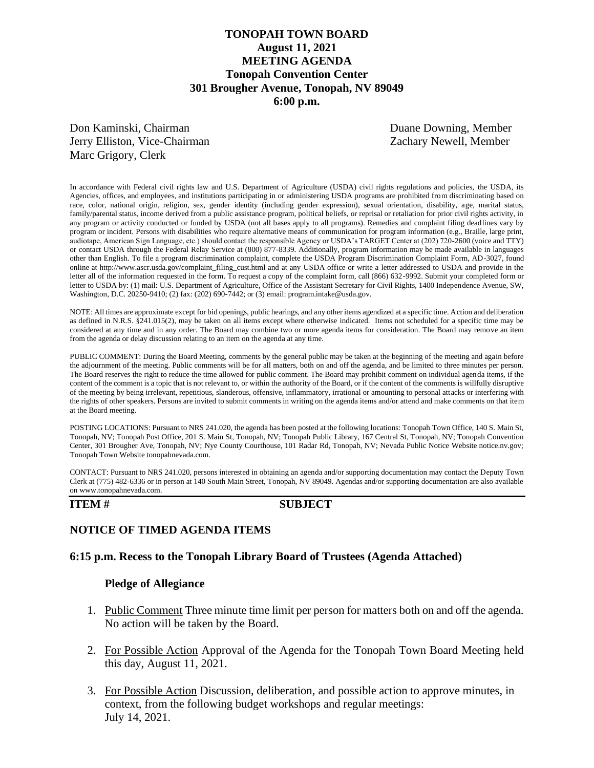# **TONOPAH TOWN BOARD August 11, 2021 MEETING AGENDA Tonopah Convention Center 301 Brougher Avenue, Tonopah, NV 89049 6:00 p.m.**

Don Kaminski, Chairman Duane Downing, Member Jerry Elliston, Vice-Chairman Zachary Newell, Member Marc Grigory, Clerk

In accordance with Federal civil rights law and U.S. Department of Agriculture (USDA) civil rights regulations and policies, the USDA, its Agencies, offices, and employees, and institutions participating in or administering USDA programs are prohibited from discriminating based on race, color, national origin, religion, sex, gender identity (including gender expression), sexual orientation, disability, age, marital status, family/parental status, income derived from a public assistance program, political beliefs, or reprisal or retaliation for prior civil rights activity, in any program or activity conducted or funded by USDA (not all bases apply to all programs). Remedies and complaint filing deadlines vary by program or incident. Persons with disabilities who require alternative means of communication for program information (e.g., Braille, large print, audiotape, American Sign Language, etc.) should contact the responsible Agency or USDA's TARGET Center at (202) 720-2600 (voice and TTY) or contact USDA through the Federal Relay Service at (800) 877-8339. Additionally, program information may be made available in languages other than English. To file a program discrimination complaint, complete the USDA Program Discrimination Complaint Form, AD-3027, found online at http://www.ascr.usda.gov/complaint\_filing\_cust.html and at any USDA office or write a letter addressed to USDA and provide in the letter all of the information requested in the form. To request a copy of the complaint form, call (866) 632-9992. Submit your completed form or letter to USDA by: (1) mail: U.S. Department of Agriculture, Office of the Assistant Secretary for Civil Rights, 1400 Independence Avenue, SW, Washington, D.C. 20250-9410; (2) fax: (202) 690-7442; or (3) email: program.intake@usda.gov.

NOTE: All times are approximate except for bid openings, public hearings, and any other items agendized at a specific time. Action and deliberation as defined in N.R.S. §241.015(2), may be taken on all items except where otherwise indicated. Items not scheduled for a specific time may be considered at any time and in any order. The Board may combine two or more agenda items for consideration. The Board may remove an item from the agenda or delay discussion relating to an item on the agenda at any time.

PUBLIC COMMENT: During the Board Meeting, comments by the general public may be taken at the beginning of the meeting and again before the adjournment of the meeting. Public comments will be for all matters, both on and off the agenda, and be limited to three minutes per person. The Board reserves the right to reduce the time allowed for public comment. The Board may prohibit comment on individual agenda items, if the content of the comment is a topic that is not relevant to, or within the authority of the Board, or if the content of the comments is willfully disruptive of the meeting by being irrelevant, repetitious, slanderous, offensive, inflammatory, irrational or amounting to personal attacks or interfering with the rights of other speakers. Persons are invited to submit comments in writing on the agenda items and/or attend and make comments on that item at the Board meeting.

POSTING LOCATIONS: Pursuant to NRS 241.020, the agenda has been posted at the following locations: Tonopah Town Office, 140 S. Main St, Tonopah, NV; Tonopah Post Office, 201 S. Main St, Tonopah, NV; Tonopah Public Library, 167 Central St, Tonopah, NV; Tonopah Convention Center, 301 Brougher Ave, Tonopah, NV; Nye County Courthouse, 101 Radar Rd, Tonopah, NV; Nevada Public Notice Website notice.nv.gov; Tonopah Town Website tonopahnevada.com.

CONTACT: Pursuant to NRS 241.020, persons interested in obtaining an agenda and/or supporting documentation may contact the Deputy Town Clerk at (775) 482-6336 or in person at 140 South Main Street, Tonopah, NV 89049. Agendas and/or supporting documentation are also available on www.tonopahnevada.com.

### **ITEM # SUBJECT**

## **NOTICE OF TIMED AGENDA ITEMS**

### **6:15 p.m. Recess to the Tonopah Library Board of Trustees (Agenda Attached)**

### **Pledge of Allegiance**

- 1. Public Comment Three minute time limit per person for matters both on and off the agenda. No action will be taken by the Board.
- 2. For Possible Action Approval of the Agenda for the Tonopah Town Board Meeting held this day, August 11, 2021.
- 3. For Possible Action Discussion, deliberation, and possible action to approve minutes, in context, from the following budget workshops and regular meetings: July 14, 2021.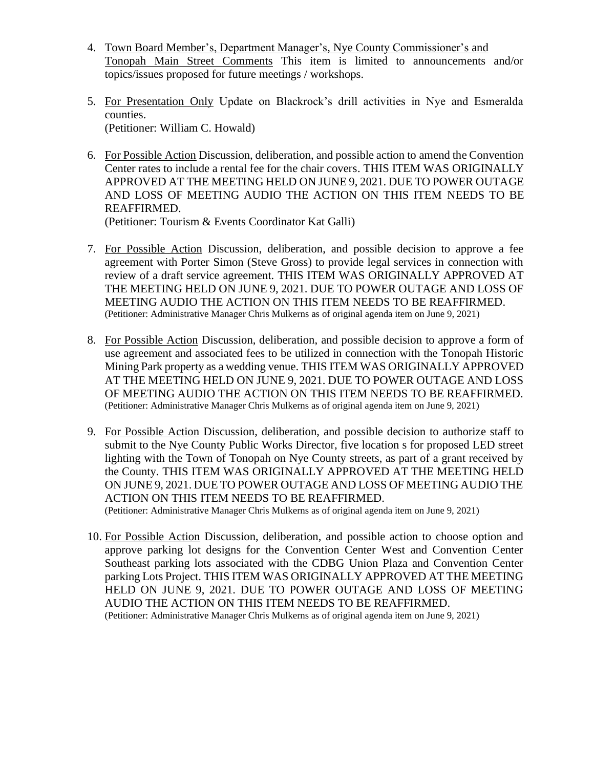- 4. Town Board Member's, Department Manager's, Nye County Commissioner's and Tonopah Main Street Comments This item is limited to announcements and/or topics/issues proposed for future meetings / workshops.
- 5. For Presentation Only Update on Blackrock's drill activities in Nye and Esmeralda counties. (Petitioner: William C. Howald)
- 6. For Possible Action Discussion, deliberation, and possible action to amend the Convention Center rates to include a rental fee for the chair covers. THIS ITEM WAS ORIGINALLY APPROVED AT THE MEETING HELD ON JUNE 9, 2021. DUE TO POWER OUTAGE AND LOSS OF MEETING AUDIO THE ACTION ON THIS ITEM NEEDS TO BE REAFFIRMED.

(Petitioner: Tourism & Events Coordinator Kat Galli)

- 7. For Possible Action Discussion, deliberation, and possible decision to approve a fee agreement with Porter Simon (Steve Gross) to provide legal services in connection with review of a draft service agreement. THIS ITEM WAS ORIGINALLY APPROVED AT THE MEETING HELD ON JUNE 9, 2021. DUE TO POWER OUTAGE AND LOSS OF MEETING AUDIO THE ACTION ON THIS ITEM NEEDS TO BE REAFFIRMED. (Petitioner: Administrative Manager Chris Mulkerns as of original agenda item on June 9, 2021)
- 8. For Possible Action Discussion, deliberation, and possible decision to approve a form of use agreement and associated fees to be utilized in connection with the Tonopah Historic Mining Park property as a wedding venue. THIS ITEM WAS ORIGINALLY APPROVED AT THE MEETING HELD ON JUNE 9, 2021. DUE TO POWER OUTAGE AND LOSS OF MEETING AUDIO THE ACTION ON THIS ITEM NEEDS TO BE REAFFIRMED. (Petitioner: Administrative Manager Chris Mulkerns as of original agenda item on June 9, 2021)
- 9. For Possible Action Discussion, deliberation, and possible decision to authorize staff to submit to the Nye County Public Works Director, five location s for proposed LED street lighting with the Town of Tonopah on Nye County streets, as part of a grant received by the County. THIS ITEM WAS ORIGINALLY APPROVED AT THE MEETING HELD ON JUNE 9, 2021. DUE TO POWER OUTAGE AND LOSS OF MEETING AUDIO THE ACTION ON THIS ITEM NEEDS TO BE REAFFIRMED. (Petitioner: Administrative Manager Chris Mulkerns as of original agenda item on June 9, 2021)
- 10. For Possible Action Discussion, deliberation, and possible action to choose option and approve parking lot designs for the Convention Center West and Convention Center Southeast parking lots associated with the CDBG Union Plaza and Convention Center parking Lots Project. THIS ITEM WAS ORIGINALLY APPROVED AT THE MEETING HELD ON JUNE 9, 2021. DUE TO POWER OUTAGE AND LOSS OF MEETING AUDIO THE ACTION ON THIS ITEM NEEDS TO BE REAFFIRMED. (Petitioner: Administrative Manager Chris Mulkerns as of original agenda item on June 9, 2021)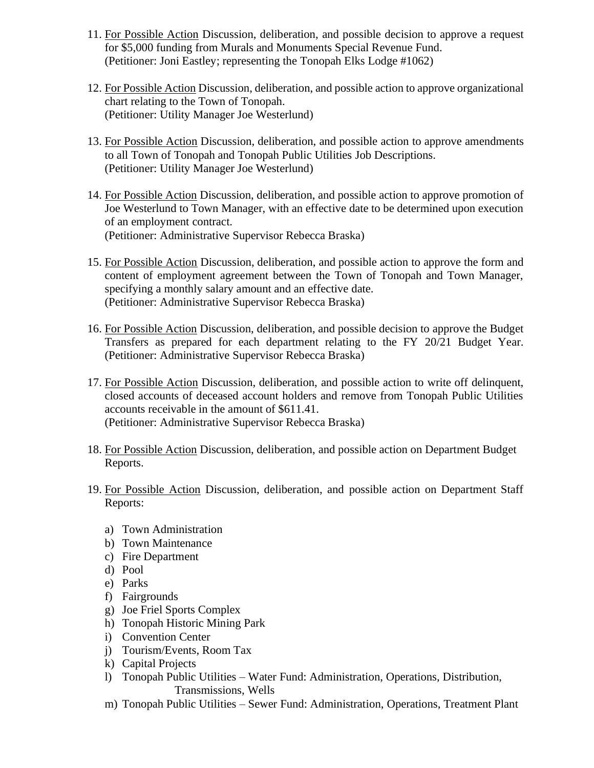- 11. For Possible Action Discussion, deliberation, and possible decision to approve a request for \$5,000 funding from Murals and Monuments Special Revenue Fund. (Petitioner: Joni Eastley; representing the Tonopah Elks Lodge #1062)
- 12. For Possible Action Discussion, deliberation, and possible action to approve organizational chart relating to the Town of Tonopah. (Petitioner: Utility Manager Joe Westerlund)
- 13. For Possible Action Discussion, deliberation, and possible action to approve amendments to all Town of Tonopah and Tonopah Public Utilities Job Descriptions. (Petitioner: Utility Manager Joe Westerlund)
- 14. For Possible Action Discussion, deliberation, and possible action to approve promotion of Joe Westerlund to Town Manager, with an effective date to be determined upon execution of an employment contract. (Petitioner: Administrative Supervisor Rebecca Braska)
- 15. For Possible Action Discussion, deliberation, and possible action to approve the form and content of employment agreement between the Town of Tonopah and Town Manager, specifying a monthly salary amount and an effective date. (Petitioner: Administrative Supervisor Rebecca Braska)
- 16. For Possible Action Discussion, deliberation, and possible decision to approve the Budget Transfers as prepared for each department relating to the FY 20/21 Budget Year. (Petitioner: Administrative Supervisor Rebecca Braska)
- 17. For Possible Action Discussion, deliberation, and possible action to write off delinquent, closed accounts of deceased account holders and remove from Tonopah Public Utilities accounts receivable in the amount of \$611.41. (Petitioner: Administrative Supervisor Rebecca Braska)
- 18. For Possible Action Discussion, deliberation, and possible action on Department Budget Reports.
- 19. For Possible Action Discussion, deliberation, and possible action on Department Staff Reports:
	- a) Town Administration
	- b) Town Maintenance
	- c) Fire Department
	- d) Pool
	- e) Parks
	- f) Fairgrounds
	- g) Joe Friel Sports Complex
	- h) Tonopah Historic Mining Park
	- i) Convention Center
	- j) Tourism/Events, Room Tax
	- k) Capital Projects
	- l) Tonopah Public Utilities Water Fund: Administration, Operations, Distribution, Transmissions, Wells
	- m) Tonopah Public Utilities Sewer Fund: Administration, Operations, Treatment Plant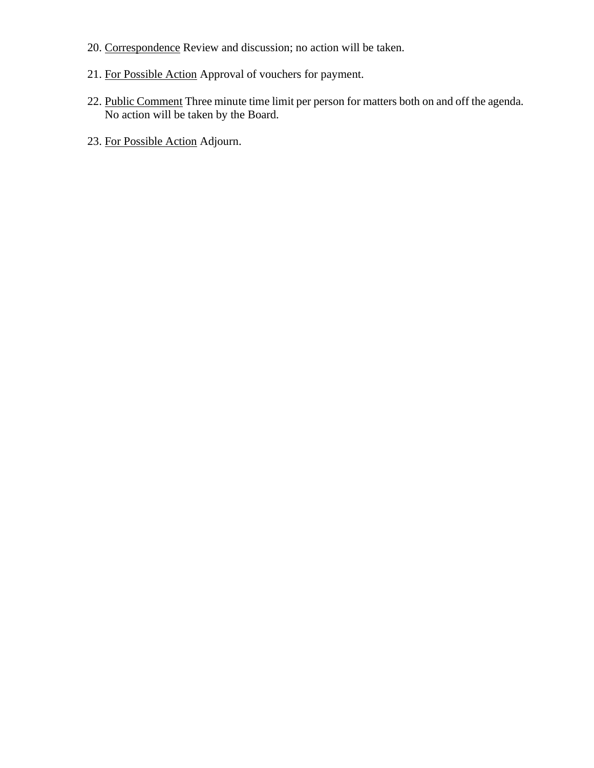- 20. Correspondence Review and discussion; no action will be taken.
- 21. For Possible Action Approval of vouchers for payment.
- 22. Public Comment Three minute time limit per person for matters both on and off the agenda. No action will be taken by the Board.
- 23. For Possible Action Adjourn.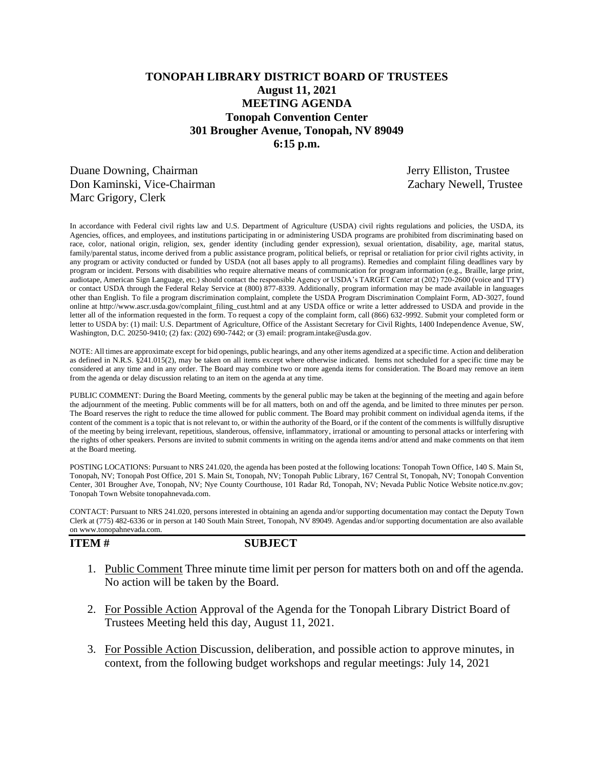# **TONOPAH LIBRARY DISTRICT BOARD OF TRUSTEES August 11, 2021 MEETING AGENDA Tonopah Convention Center 301 Brougher Avenue, Tonopah, NV 89049 6:15 p.m.**

Duane Downing, Chairman Jerry Elliston, Trustee Don Kaminski, Vice-Chairman Zachary Newell, Trustee Marc Grigory, Clerk

In accordance with Federal civil rights law and U.S. Department of Agriculture (USDA) civil rights regulations and policies, the USDA, its Agencies, offices, and employees, and institutions participating in or administering USDA programs are prohibited from discriminating based on race, color, national origin, religion, sex, gender identity (including gender expression), sexual orientation, disability, age, marital status, family/parental status, income derived from a public assistance program, political beliefs, or reprisal or retaliation for prior civil rights activity, in any program or activity conducted or funded by USDA (not all bases apply to all programs). Remedies and complaint filing deadlines vary by program or incident. Persons with disabilities who require alternative means of communication for program information (e.g., Braille, large print, audiotape, American Sign Language, etc.) should contact the responsible Agency or USDA's TARGET Center at (202) 720-2600 (voice and TTY) or contact USDA through the Federal Relay Service at (800) 877-8339. Additionally, program information may be made available in languages other than English. To file a program discrimination complaint, complete the USDA Program Discrimination Complaint Form, AD-3027, found online at http://www.ascr.usda.gov/complaint\_filing\_cust.html and at any USDA office or write a letter addressed to USDA and provide in the letter all of the information requested in the form. To request a copy of the complaint form, call (866) 632-9992. Submit your completed form or letter to USDA by: (1) mail: U.S. Department of Agriculture, Office of the Assistant Secretary for Civil Rights, 1400 Independence Avenue, SW, Washington, D.C. 20250-9410; (2) fax: (202) 690-7442; or (3) email: program.intake@usda.gov.

NOTE: All times are approximate except for bid openings, public hearings, and any other items agendized at a specific time. Action and deliberation as defined in N.R.S. §241.015(2), may be taken on all items except where otherwise indicated. Items not scheduled for a specific time may be considered at any time and in any order. The Board may combine two or more agenda items for consideration. The Board may remove an item from the agenda or delay discussion relating to an item on the agenda at any time.

PUBLIC COMMENT: During the Board Meeting, comments by the general public may be taken at the beginning of the meeting and again before the adjournment of the meeting. Public comments will be for all matters, both on and off the agenda, and be limited to three minutes per person. The Board reserves the right to reduce the time allowed for public comment. The Board may prohibit comment on individual agenda items, if the content of the comment is a topic that is not relevant to, or within the authority of the Board, or if the content of the comments is willfully disruptive of the meeting by being irrelevant, repetitious, slanderous, offensive, inflammatory, irrational or amounting to personal attacks or interfering with the rights of other speakers. Persons are invited to submit comments in writing on the agenda items and/or attend and make comments on that item at the Board meeting.

POSTING LOCATIONS: Pursuant to NRS 241.020, the agenda has been posted at the following locations: Tonopah Town Office, 140 S. Main St, Tonopah, NV; Tonopah Post Office, 201 S. Main St, Tonopah, NV; Tonopah Public Library, 167 Central St, Tonopah, NV; Tonopah Convention Center, 301 Brougher Ave, Tonopah, NV; Nye County Courthouse, 101 Radar Rd, Tonopah, NV; Nevada Public Notice Website notice.nv.gov; Tonopah Town Website tonopahnevada.com.

CONTACT: Pursuant to NRS 241.020, persons interested in obtaining an agenda and/or supporting documentation may contact the Deputy Town Clerk at (775) 482-6336 or in person at 140 South Main Street, Tonopah, NV 89049. Agendas and/or supporting documentation are also available on www.tonopahnevada.com.

**ITEM # SUBJECT**

- 1. Public Comment Three minute time limit per person for matters both on and off the agenda. No action will be taken by the Board.
- 2. For Possible Action Approval of the Agenda for the Tonopah Library District Board of Trustees Meeting held this day, August 11, 2021.
- 3. For Possible Action Discussion, deliberation, and possible action to approve minutes, in context, from the following budget workshops and regular meetings: July 14, 2021